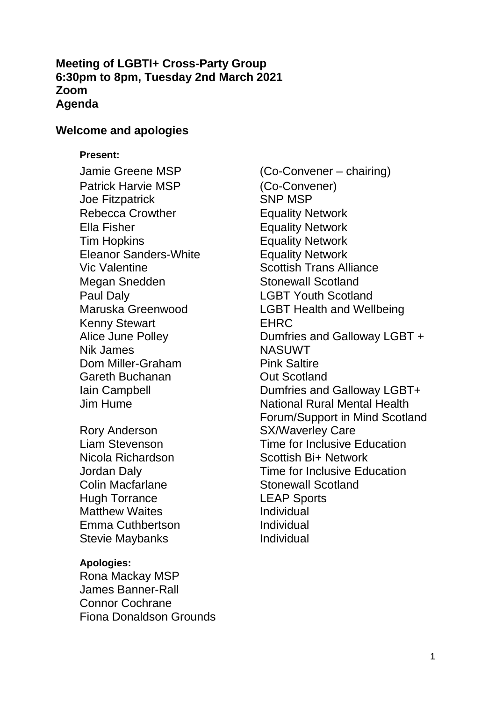#### **Meeting of LGBTI+ Cross-Party Group 6:30pm to 8pm, Tuesday 2nd March 2021 Zoom Agenda**

#### **Welcome and apologies**

#### **Present:**

Patrick Harvie MSP Joe Fitzpatrick Rebecca Crowther **Equality Network** Ella Fisher **Equality Network** Tim Hopkins Eleanor Sanders-White Vic Valentine Megan Snedden Stonewall Scotland Paul Daly<br>
Maruska Greenwood LGBT Health and Wel Kenny Stewart Alice June Polley Nik James Dom Miller-Graham Gareth Buchanan Iain Campbell Jim Hume

Rory Anderson Liam Stevenson Nicola Richardson Jordan Daly Colin Macfarlane Hugh Torrance Matthew Waites Emma Cuthbertson Stevie Maybanks

#### **Apologies:**

Rona Mackay MSP James Banner-Rall Connor Cochrane Fiona Donaldson Grounds

Jamie Greene MSP (Co-Convener – chairing) (Co-Convener) SNP MSP Equality Network Equality Network Scottish Trans Alliance **LGBT Health and Wellbeing** EHRC Dumfries and Galloway LGBT + NASUWT Pink Saltire Out Scotland Dumfries and Galloway LGBT+ National Rural Mental Health Forum/Support in Mind Scotland SX/Waverley Care Time for Inclusive Education Scottish Bi+ Network Time for Inclusive Education Stonewall Scotland LEAP Sports Individual Individual Individual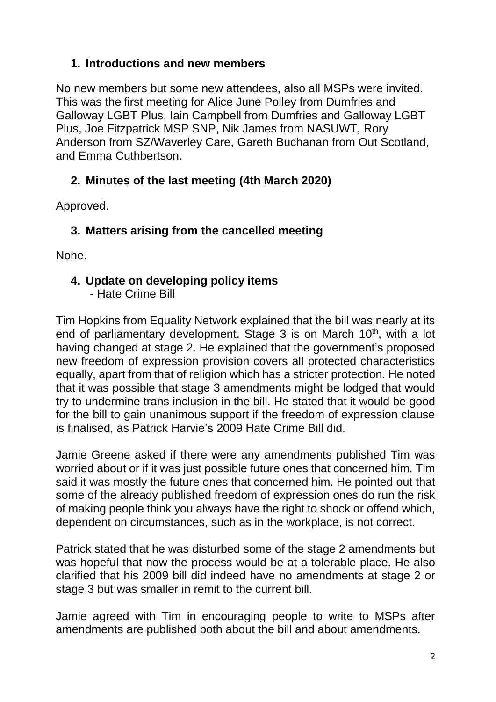#### **1. Introductions and new members**

No new members but some new attendees, also all MSPs were invited. This was the first meeting for Alice June Polley from Dumfries and Galloway LGBT Plus, Iain Campbell from Dumfries and Galloway LGBT Plus, Joe Fitzpatrick MSP SNP, Nik James from NASUWT, Rory Anderson from SZ/Waverley Care, Gareth Buchanan from Out Scotland, and Emma Cuthbertson.

## **2. Minutes of the last meeting (4th March 2020)**

Approved.

## **3. Matters arising from the cancelled meeting**

None.

## **4. Update on developing policy items**

- Hate Crime Bill

Tim Hopkins from Equality Network explained that the bill was nearly at its end of parliamentary development. Stage 3 is on March  $10<sup>th</sup>$ , with a lot having changed at stage 2. He explained that the government's proposed new freedom of expression provision covers all protected characteristics equally, apart from that of religion which has a stricter protection. He noted that it was possible that stage 3 amendments might be lodged that would try to undermine trans inclusion in the bill. He stated that it would be good for the bill to gain unanimous support if the freedom of expression clause is finalised, as Patrick Harvie's 2009 Hate Crime Bill did.

Jamie Greene asked if there were any amendments published Tim was worried about or if it was just possible future ones that concerned him. Tim said it was mostly the future ones that concerned him. He pointed out that some of the already published freedom of expression ones do run the risk of making people think you always have the right to shock or offend which, dependent on circumstances, such as in the workplace, is not correct.

Patrick stated that he was disturbed some of the stage 2 amendments but was hopeful that now the process would be at a tolerable place. He also clarified that his 2009 bill did indeed have no amendments at stage 2 or stage 3 but was smaller in remit to the current bill.

Jamie agreed with Tim in encouraging people to write to MSPs after amendments are published both about the bill and about amendments.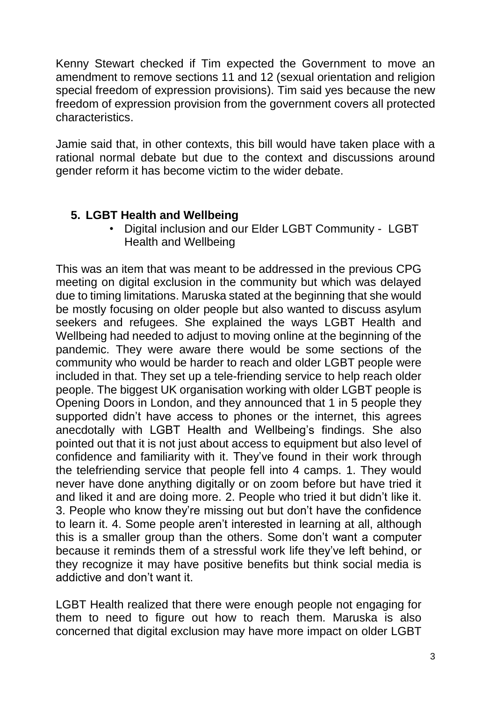Kenny Stewart checked if Tim expected the Government to move an amendment to remove sections 11 and 12 (sexual orientation and religion special freedom of expression provisions). Tim said yes because the new freedom of expression provision from the government covers all protected characteristics.

Jamie said that, in other contexts, this bill would have taken place with a rational normal debate but due to the context and discussions around gender reform it has become victim to the wider debate.

## **5. LGBT Health and Wellbeing**

• Digital inclusion and our Elder LGBT Community - LGBT Health and Wellbeing

This was an item that was meant to be addressed in the previous CPG meeting on digital exclusion in the community but which was delayed due to timing limitations. Maruska stated at the beginning that she would be mostly focusing on older people but also wanted to discuss asylum seekers and refugees. She explained the ways LGBT Health and Wellbeing had needed to adjust to moving online at the beginning of the pandemic. They were aware there would be some sections of the community who would be harder to reach and older LGBT people were included in that. They set up a tele-friending service to help reach older people. The biggest UK organisation working with older LGBT people is Opening Doors in London, and they announced that 1 in 5 people they supported didn't have access to phones or the internet, this agrees anecdotally with LGBT Health and Wellbeing's findings. She also pointed out that it is not just about access to equipment but also level of confidence and familiarity with it. They've found in their work through the telefriending service that people fell into 4 camps. 1. They would never have done anything digitally or on zoom before but have tried it and liked it and are doing more. 2. People who tried it but didn't like it. 3. People who know they're missing out but don't have the confidence to learn it. 4. Some people aren't interested in learning at all, although this is a smaller group than the others. Some don't want a computer because it reminds them of a stressful work life they've left behind, or they recognize it may have positive benefits but think social media is addictive and don't want it.

LGBT Health realized that there were enough people not engaging for them to need to figure out how to reach them. Maruska is also concerned that digital exclusion may have more impact on older LGBT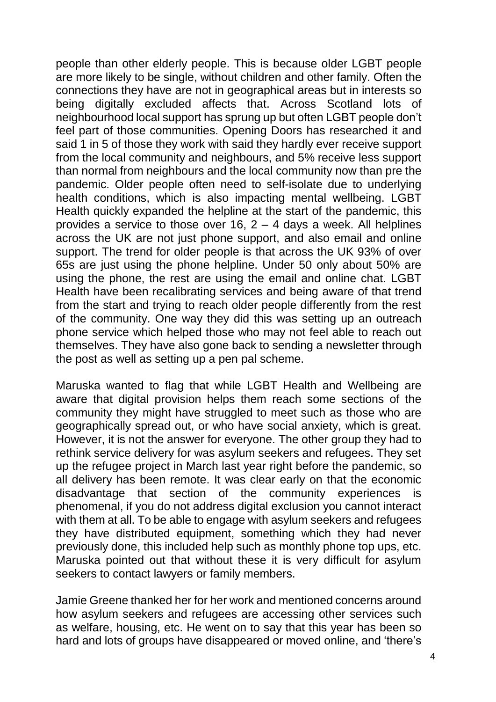people than other elderly people. This is because older LGBT people are more likely to be single, without children and other family. Often the connections they have are not in geographical areas but in interests so being digitally excluded affects that. Across Scotland lots of neighbourhood local support has sprung up but often LGBT people don't feel part of those communities. Opening Doors has researched it and said 1 in 5 of those they work with said they hardly ever receive support from the local community and neighbours, and 5% receive less support than normal from neighbours and the local community now than pre the pandemic. Older people often need to self-isolate due to underlying health conditions, which is also impacting mental wellbeing. LGBT Health quickly expanded the helpline at the start of the pandemic, this provides a service to those over 16,  $2 - 4$  days a week. All helplines across the UK are not just phone support, and also email and online support. The trend for older people is that across the UK 93% of over 65s are just using the phone helpline. Under 50 only about 50% are using the phone, the rest are using the email and online chat. LGBT Health have been recalibrating services and being aware of that trend from the start and trying to reach older people differently from the rest of the community. One way they did this was setting up an outreach phone service which helped those who may not feel able to reach out themselves. They have also gone back to sending a newsletter through the post as well as setting up a pen pal scheme.

Maruska wanted to flag that while LGBT Health and Wellbeing are aware that digital provision helps them reach some sections of the community they might have struggled to meet such as those who are geographically spread out, or who have social anxiety, which is great. However, it is not the answer for everyone. The other group they had to rethink service delivery for was asylum seekers and refugees. They set up the refugee project in March last year right before the pandemic, so all delivery has been remote. It was clear early on that the economic disadvantage that section of the community experiences is phenomenal, if you do not address digital exclusion you cannot interact with them at all. To be able to engage with asylum seekers and refugees they have distributed equipment, something which they had never previously done, this included help such as monthly phone top ups, etc. Maruska pointed out that without these it is very difficult for asylum seekers to contact lawyers or family members.

Jamie Greene thanked her for her work and mentioned concerns around how asylum seekers and refugees are accessing other services such as welfare, housing, etc. He went on to say that this year has been so hard and lots of groups have disappeared or moved online, and 'there's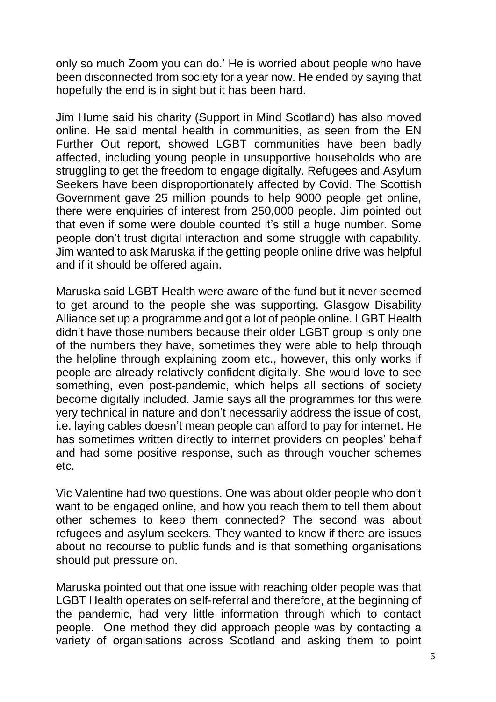only so much Zoom you can do.' He is worried about people who have been disconnected from society for a year now. He ended by saying that hopefully the end is in sight but it has been hard.

Jim Hume said his charity (Support in Mind Scotland) has also moved online. He said mental health in communities, as seen from the EN Further Out report, showed LGBT communities have been badly affected, including young people in unsupportive households who are struggling to get the freedom to engage digitally. Refugees and Asylum Seekers have been disproportionately affected by Covid. The Scottish Government gave 25 million pounds to help 9000 people get online, there were enquiries of interest from 250,000 people. Jim pointed out that even if some were double counted it's still a huge number. Some people don't trust digital interaction and some struggle with capability. Jim wanted to ask Maruska if the getting people online drive was helpful and if it should be offered again.

Maruska said LGBT Health were aware of the fund but it never seemed to get around to the people she was supporting. Glasgow Disability Alliance set up a programme and got a lot of people online. LGBT Health didn't have those numbers because their older LGBT group is only one of the numbers they have, sometimes they were able to help through the helpline through explaining zoom etc., however, this only works if people are already relatively confident digitally. She would love to see something, even post-pandemic, which helps all sections of society become digitally included. Jamie says all the programmes for this were very technical in nature and don't necessarily address the issue of cost, i.e. laying cables doesn't mean people can afford to pay for internet. He has sometimes written directly to internet providers on peoples' behalf and had some positive response, such as through voucher schemes etc.

Vic Valentine had two questions. One was about older people who don't want to be engaged online, and how you reach them to tell them about other schemes to keep them connected? The second was about refugees and asylum seekers. They wanted to know if there are issues about no recourse to public funds and is that something organisations should put pressure on.

Maruska pointed out that one issue with reaching older people was that LGBT Health operates on self-referral and therefore, at the beginning of the pandemic, had very little information through which to contact people. One method they did approach people was by contacting a variety of organisations across Scotland and asking them to point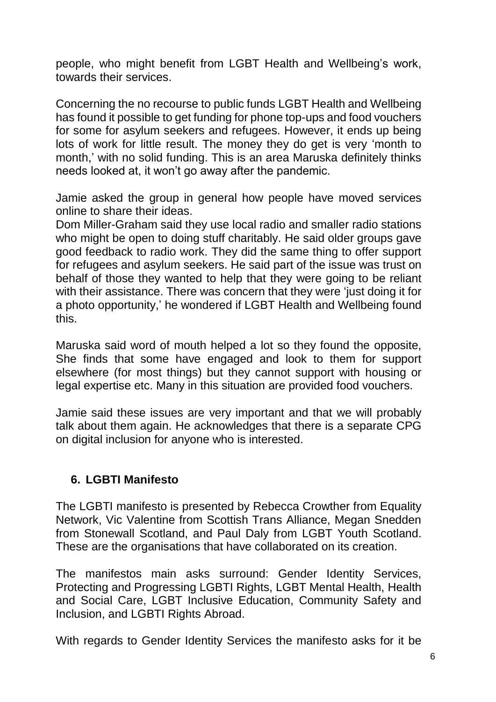people, who might benefit from LGBT Health and Wellbeing's work, towards their services.

Concerning the no recourse to public funds LGBT Health and Wellbeing has found it possible to get funding for phone top-ups and food vouchers for some for asylum seekers and refugees. However, it ends up being lots of work for little result. The money they do get is very 'month to month,' with no solid funding. This is an area Maruska definitely thinks needs looked at, it won't go away after the pandemic.

Jamie asked the group in general how people have moved services online to share their ideas.

Dom Miller-Graham said they use local radio and smaller radio stations who might be open to doing stuff charitably. He said older groups gave good feedback to radio work. They did the same thing to offer support for refugees and asylum seekers. He said part of the issue was trust on behalf of those they wanted to help that they were going to be reliant with their assistance. There was concern that they were 'just doing it for a photo opportunity,' he wondered if LGBT Health and Wellbeing found this.

Maruska said word of mouth helped a lot so they found the opposite, She finds that some have engaged and look to them for support elsewhere (for most things) but they cannot support with housing or legal expertise etc. Many in this situation are provided food vouchers.

Jamie said these issues are very important and that we will probably talk about them again. He acknowledges that there is a separate CPG on digital inclusion for anyone who is interested.

## **6. LGBTI Manifesto**

The LGBTI manifesto is presented by Rebecca Crowther from Equality Network, Vic Valentine from Scottish Trans Alliance, Megan Snedden from Stonewall Scotland, and Paul Daly from LGBT Youth Scotland. These are the organisations that have collaborated on its creation.

The manifestos main asks surround: Gender Identity Services, Protecting and Progressing LGBTI Rights, LGBT Mental Health, Health and Social Care, LGBT Inclusive Education, Community Safety and Inclusion, and LGBTI Rights Abroad.

With regards to Gender Identity Services the manifesto asks for it be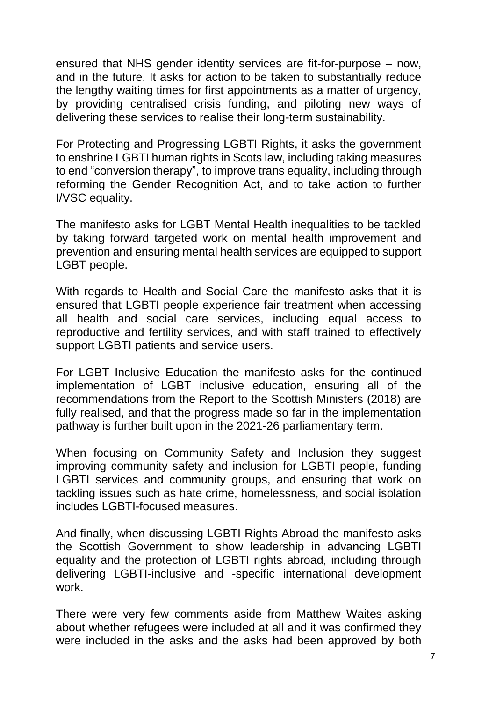ensured that NHS gender identity services are fit-for-purpose – now, and in the future. It asks for action to be taken to substantially reduce the lengthy waiting times for first appointments as a matter of urgency, by providing centralised crisis funding, and piloting new ways of delivering these services to realise their long-term sustainability.

For Protecting and Progressing LGBTI Rights, it asks the government to enshrine LGBTI human rights in Scots law, including taking measures to end "conversion therapy", to improve trans equality, including through reforming the Gender Recognition Act, and to take action to further I/VSC equality.

The manifesto asks for LGBT Mental Health inequalities to be tackled by taking forward targeted work on mental health improvement and prevention and ensuring mental health services are equipped to support LGBT people.

With regards to Health and Social Care the manifesto asks that it is ensured that LGBTI people experience fair treatment when accessing all health and social care services, including equal access to reproductive and fertility services, and with staff trained to effectively support LGBTI patients and service users.

For LGBT Inclusive Education the manifesto asks for the continued implementation of LGBT inclusive education, ensuring all of the recommendations from the Report to the Scottish Ministers (2018) are fully realised, and that the progress made so far in the implementation pathway is further built upon in the 2021-26 parliamentary term.

When focusing on Community Safety and Inclusion they suggest improving community safety and inclusion for LGBTI people, funding LGBTI services and community groups, and ensuring that work on tackling issues such as hate crime, homelessness, and social isolation includes LGBTI-focused measures.

And finally, when discussing LGBTI Rights Abroad the manifesto asks the Scottish Government to show leadership in advancing LGBTI equality and the protection of LGBTI rights abroad, including through delivering LGBTI-inclusive and -specific international development work.

There were very few comments aside from Matthew Waites asking about whether refugees were included at all and it was confirmed they were included in the asks and the asks had been approved by both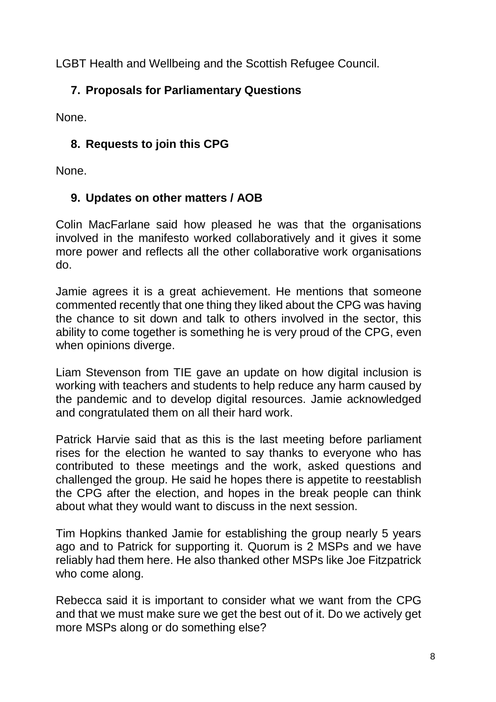LGBT Health and Wellbeing and the Scottish Refugee Council.

## **7. Proposals for Parliamentary Questions**

None.

# **8. Requests to join this CPG**

None.

# **9. Updates on other matters / AOB**

Colin MacFarlane said how pleased he was that the organisations involved in the manifesto worked collaboratively and it gives it some more power and reflects all the other collaborative work organisations do.

Jamie agrees it is a great achievement. He mentions that someone commented recently that one thing they liked about the CPG was having the chance to sit down and talk to others involved in the sector, this ability to come together is something he is very proud of the CPG, even when opinions diverge.

Liam Stevenson from TIE gave an update on how digital inclusion is working with teachers and students to help reduce any harm caused by the pandemic and to develop digital resources. Jamie acknowledged and congratulated them on all their hard work.

Patrick Harvie said that as this is the last meeting before parliament rises for the election he wanted to say thanks to everyone who has contributed to these meetings and the work, asked questions and challenged the group. He said he hopes there is appetite to reestablish the CPG after the election, and hopes in the break people can think about what they would want to discuss in the next session.

Tim Hopkins thanked Jamie for establishing the group nearly 5 years ago and to Patrick for supporting it. Quorum is 2 MSPs and we have reliably had them here. He also thanked other MSPs like Joe Fitzpatrick who come along.

Rebecca said it is important to consider what we want from the CPG and that we must make sure we get the best out of it. Do we actively get more MSPs along or do something else?